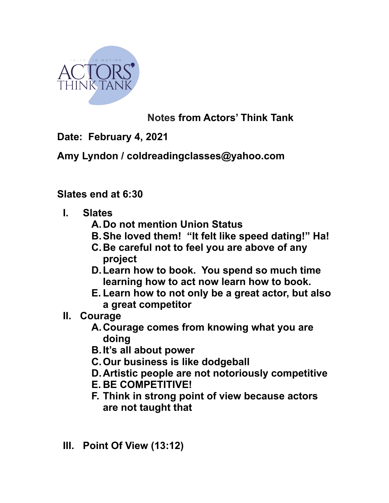

## **Notes from Actors' Think Tank**

**Date: February 4, 2021** 

**Amy Lyndon / coldreadingclasses@yahoo.com** 

**Slates end at 6:30** 

- **I. Slates** 
	- **A.Do not mention Union Status**
	- **B.She loved them! "It felt like speed dating!" Ha!**
	- **C.Be careful not to feel you are above of any project**
	- **D.Learn how to book. You spend so much time learning how to act now learn how to book.**
	- **E. Learn how to not only be a great actor, but also a great competitor**
- **II. Courage** 
	- **A.Courage comes from knowing what you are doing**
	- **B.It's all about power**
	- **C.Our business is like dodgeball**
	- **D.Artistic people are not notoriously competitive**
	- **E. BE COMPETITIVE!**
	- **F. Think in strong point of view because actors are not taught that**
- **III. Point Of View (13:12)**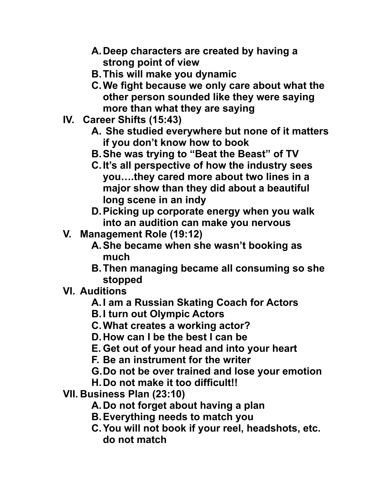- **A.Deep characters are created by having a strong point of view**
- **B.This will make you dynamic**
- **C.We fight because we only care about what the other person sounded like they were saying more than what they are saying**
- **IV. Career Shifts (15:43)** 
	- **A. She studied everywhere but none of it matters if you don't know how to book**
	- **B.She was trying to "Beat the Beast" of TV**
	- **C.It's all perspective of how the industry sees you….they cared more about two lines in a major show than they did about a beautiful long scene in an indy**
	- **D.Picking up corporate energy when you walk into an audition can make you nervous**
- **V. Management Role (19:12)** 
	- **A.She became when she wasn't booking as much**
	- **B.Then managing became all consuming so she stopped**
- **VI. Auditions** 
	- **A.I am a Russian Skating Coach for Actors**
	- **B.I turn out Olympic Actors**
	- **C.What creates a working actor?**
	- **D.How can I be the best I can be**
	- **E. Get out of your head and into your heart**
	- **F. Be an instrument for the writer**
	- **G.Do not be over trained and lose your emotion**
	- **H.Do not make it too difficult!!**
- **VII. Business Plan (23:10)** 
	- **A.Do not forget about having a plan**
	- **B.Everything needs to match you**
	- **C.You will not book if your reel, headshots, etc. do not match**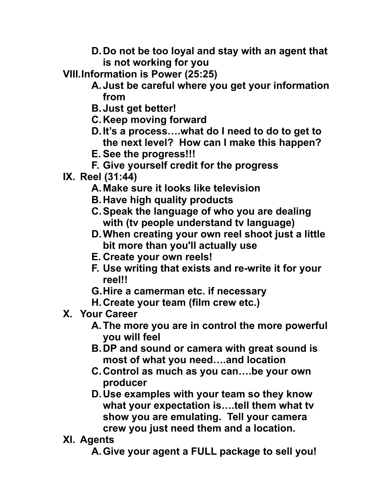- **D.Do not be too loyal and stay with an agent that is not working for you**
- **VIII.Information is Power (25:25)** 
	- **A.Just be careful where you get your information from**
	- **B.Just get better!**
	- **C.Keep moving forward**
	- **D.It's a process….what do I need to do to get to the next level? How can I make this happen?**
	- **E. See the progress!!!**
	- **F. Give yourself credit for the progress**
- **IX. Reel (31:44)** 
	- **A.Make sure it looks like television**
	- **B.Have high quality products**
	- **C.Speak the language of who you are dealing with (tv people understand tv language)**
	- **D.When creating your own reel shoot just a little bit more than you'll actually use**
	- **E. Create your own reels!**
	- **F. Use writing that exists and re-write it for your reel!!**
	- **G.Hire a camerman etc. if necessary**
	- **H.Create your team (film crew etc.)**
- **X. Your Career** 
	- **A.The more you are in control the more powerful you will feel**
	- **B.DP and sound or camera with great sound is most of what you need….and location**
	- **C.Control as much as you can….be your own producer**
	- **D.Use examples with your team so they know what your expectation is….tell them what tv show you are emulating. Tell your camera crew you just need them and a location.**
- **XI. Agents**

**A.Give your agent a FULL package to sell you!**